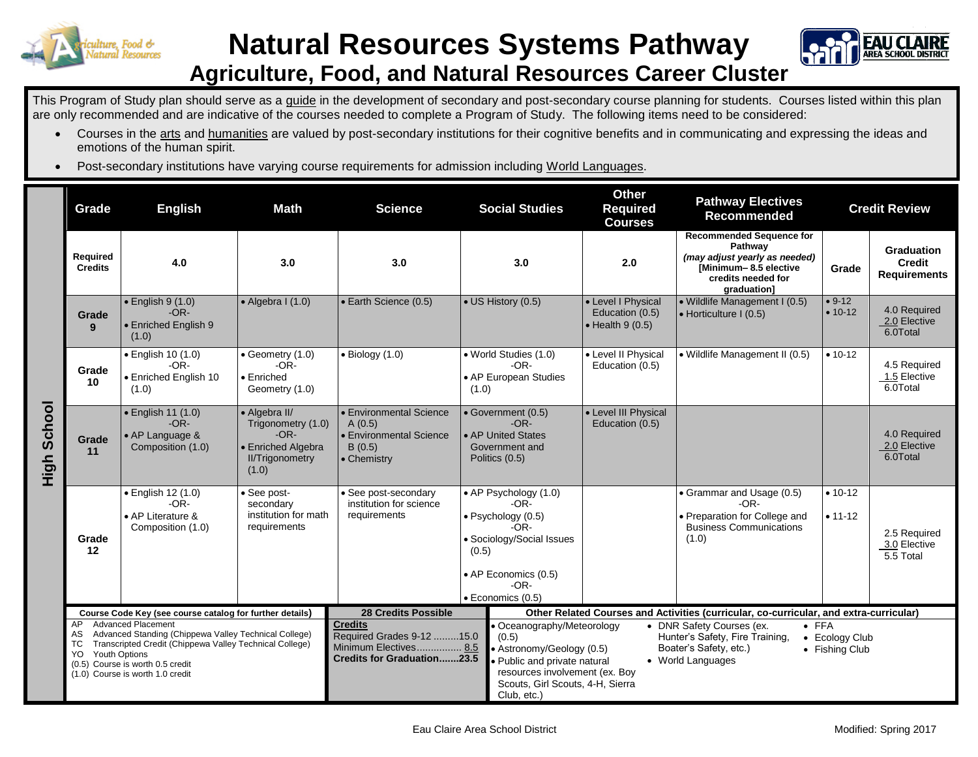

## **Natural Resources Systems Pathway Agriculture, Food, and Natural Resources Career Cluster**



This Program of Study plan should serve as a guide in the development of secondary and post-secondary course planning for students. Courses listed within this plan are only recommended and are indicative of the courses needed to complete a Program of Study. The following items need to be considered:

- Courses in the arts and humanities are valued by post-secondary institutions for their cognitive benefits and in communicating and expressing the ideas and emotions of the human spirit.
- Post-secondary institutions have varying course requirements for admission including World Languages.

|                    | Grade                                                    | <b>English</b>                                                                                                                                                                                                        | <b>Math</b>                                                                                            | <b>Science</b>                                                                                                       | <b>Social Studies</b>                                                                                                                                                                 | <b>Other</b><br><b>Required</b><br><b>Courses</b>                 | <b>Pathway Electives</b><br><b>Recommended</b>                                                                                            | <b>Credit Review</b>             |                                                           |
|--------------------|----------------------------------------------------------|-----------------------------------------------------------------------------------------------------------------------------------------------------------------------------------------------------------------------|--------------------------------------------------------------------------------------------------------|----------------------------------------------------------------------------------------------------------------------|---------------------------------------------------------------------------------------------------------------------------------------------------------------------------------------|-------------------------------------------------------------------|-------------------------------------------------------------------------------------------------------------------------------------------|----------------------------------|-----------------------------------------------------------|
| <b>High School</b> | Required<br><b>Credits</b>                               | 4.0                                                                                                                                                                                                                   | 3.0                                                                                                    | 3.0                                                                                                                  | 3.0                                                                                                                                                                                   | 2.0                                                               | <b>Recommended Sequence for</b><br>Pathway<br>(may adjust yearly as needed)<br>[Minimum-8.5 elective<br>credits needed for<br>graduation] | Grade                            | <b>Graduation</b><br><b>Credit</b><br><b>Requirements</b> |
|                    | Grade<br>$\mathbf{Q}$                                    | $\bullet$ English 9 (1.0)<br>$-OR-$<br><b>Enriched English 9</b><br>(1.0)                                                                                                                                             | $\bullet$ Algebra I (1.0)                                                                              | · Earth Science (0.5)                                                                                                | • US History (0.5)                                                                                                                                                                    | • Level I Physical<br>Education (0.5)<br>$\bullet$ Health 9 (0.5) | · Wildlife Management I (0.5)<br>• Horticulture I (0.5)                                                                                   | $• 9-12$<br>$• 10-12$            | 4.0 Required<br>2.0 Elective<br>6.0Total                  |
|                    | Grade<br>10                                              | · English 10 (1.0)<br>$-OR-$<br>• Enriched English 10<br>(1.0)                                                                                                                                                        | • Geometry (1.0)<br>$-OR-$<br>• Enriched<br>Geometry (1.0)                                             | $\bullet$ Biology (1.0)                                                                                              | • World Studies (1.0)<br>$-OR-$<br>• AP European Studies<br>(1.0)                                                                                                                     | • Level II Physical<br>Education (0.5)                            | • Wildlife Management II (0.5)                                                                                                            | $• 10-12$                        | 4.5 Required<br>1.5 Elective<br>6.0Total                  |
|                    | Grade<br>11                                              | · English 11 (1.0)<br>$-OR-$<br>• AP Language &<br>Composition (1.0)                                                                                                                                                  | • Algebra II/<br>Trigonometry (1.0)<br>$-OR-$<br>• Enriched Algebra<br><b>II/Trigonometry</b><br>(1.0) | • Environmental Science<br>A(0.5)<br>• Environmental Science<br>B(0.5)<br>• Chemistry                                | · Government (0.5)<br>$-OR-$<br>• AP United States<br>Government and<br>Politics (0.5)                                                                                                | • Level III Physical<br>Education (0.5)                           |                                                                                                                                           |                                  | 4.0 Required<br>2.0 Elective<br>6.0Total                  |
|                    | Grade<br>12                                              | · English 12 (1.0)<br>$-OR-$<br>• AP Literature &<br>Composition (1.0)                                                                                                                                                | See post-<br>secondary<br>institution for math<br>requirements                                         | · See post-secondary<br>institution for science<br>requirements                                                      | • AP Psychology (1.0)<br>$-OR-$<br>· Psychology (0.5)<br>-OR-<br>• Sociology/Social Issues<br>(0.5)<br>• AP Economics (0.5)<br>$-OR-$<br>· Economics (0.5)                            |                                                                   | • Grammar and Usage (0.5)<br>$-OR-$<br>· Preparation for College and<br><b>Business Communications</b><br>(1.0)                           | $• 10 - 12$<br>$• 11 - 12$       | 2.5 Required<br>3.0 Elective<br>5.5 Total                 |
|                    | Course Code Key (see course catalog for further details) |                                                                                                                                                                                                                       |                                                                                                        | <b>28 Credits Possible</b><br>Other Related Courses and Activities (curricular, co-curricular, and extra-curricular) |                                                                                                                                                                                       |                                                                   |                                                                                                                                           |                                  |                                                           |
|                    | AP<br>AS<br>TC<br><b>Youth Options</b><br>YO             | <b>Advanced Placement</b><br>Advanced Standing (Chippewa Valley Technical College)<br>Transcripted Credit (Chippewa Valley Technical College)<br>(0.5) Course is worth 0.5 credit<br>(1.0) Course is worth 1.0 credit |                                                                                                        | <b>Credits</b><br>Required Grades 9-12 15.0<br>Minimum Electives 8.5<br><b>Credits for Graduation23.5</b>            | • Oceanography/Meteorology<br>(0.5)<br>• Astronomy/Geology (0.5)<br>· Public and private natural<br>resources involvement (ex. Boy<br>Scouts, Girl Scouts, 4-H, Sierra<br>Club, etc.) |                                                                   | $\bullet$ FFA<br>• DNR Safety Courses (ex.<br>Hunter's Safety, Fire Training,<br>Boater's Safety, etc.)<br>• World Languages              | • Ecology Club<br>• Fishing Club |                                                           |